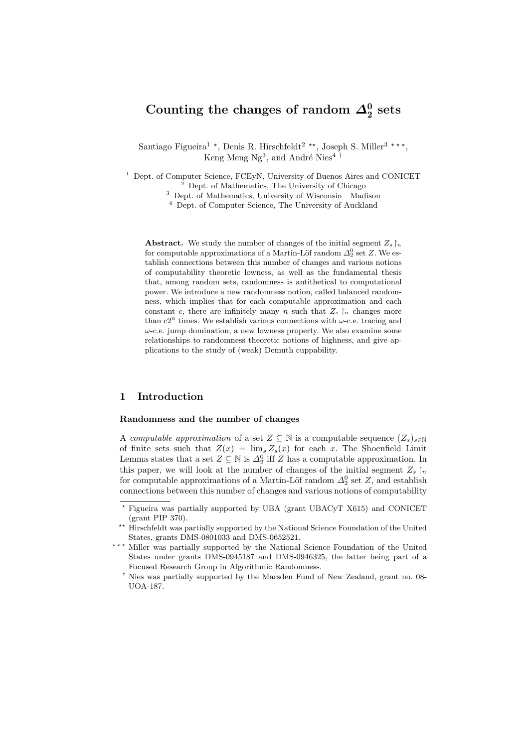# Counting the changes of random  $\Delta_2^0$  sets

Santiago Figueira<sup>1</sup> \*, Denis R. Hirschfeldt<sup>2</sup> \*\*, Joseph S. Miller<sup>3</sup> \*\*\*, Keng Meng Ng<sup>3</sup>, and André Nies<sup>4 †</sup>

 $1$  Dept. of Computer Science, FCEyN, University of Buenos Aires and CONICET  $^2$  Dept. of Mathematics, The University of Chicago

<sup>3</sup> Dept. of Mathematics, University of Wisconsin—Madison

<sup>4</sup> Dept. of Computer Science, The University of Auckland

**Abstract.** We study the number of changes of the initial segment  $Z_s \upharpoonright_n$ for computable approximations of a Martin-Löf random  $\Delta_2^0$  set Z. We establish connections between this number of changes and various notions of computability theoretic lowness, as well as the fundamental thesis that, among random sets, randomness is antithetical to computational power. We introduce a new randomness notion, called balanced randomness, which implies that for each computable approximation and each constant c, there are infinitely many n such that  $Z_s$   $\upharpoonright_n$  changes more than  $c2^n$  times. We establish various connections with  $\omega$ -c.e. tracing and  $\omega$ -c.e. jump domination, a new lowness property. We also examine some relationships to randomness theoretic notions of highness, and give applications to the study of (weak) Demuth cuppability.

## 1 Introduction

#### Randomness and the number of changes

A computable approximation of a set  $Z \subseteq \mathbb{N}$  is a computable sequence  $(Z_s)_{s \in \mathbb{N}}$ of finite sets such that  $Z(x) = \lim_{s \to s} Z_s(x)$  for each x. The Shoenfield Limit Lemma states that a set  $Z \subseteq \mathbb{N}$  is  $\Delta_2^0$  iff Z has a computable approximation. In this paper, we will look at the number of changes of the initial segment  $Z_s \upharpoonright_n$ for computable approximations of a Martin-Löf random  $\Delta^0_2$  set Z, and establish connections between this number of changes and various notions of computability

<sup>?</sup> Figueira was partially supported by UBA (grant UBACyT X615) and CONICET (grant PIP 370).

<sup>\*\*</sup> Hirschfeldt was partially supported by the National Science Foundation of the United States, grants DMS-0801033 and DMS-0652521.

<sup>\*\*\*</sup> Miller was partially supported by the National Science Foundation of the United States under grants DMS-0945187 and DMS-0946325, the latter being part of a Focused Research Group in Algorithmic Randomness.

<sup>†</sup> Nies was partially supported by the Marsden Fund of New Zealand, grant no. 08- UOA-187.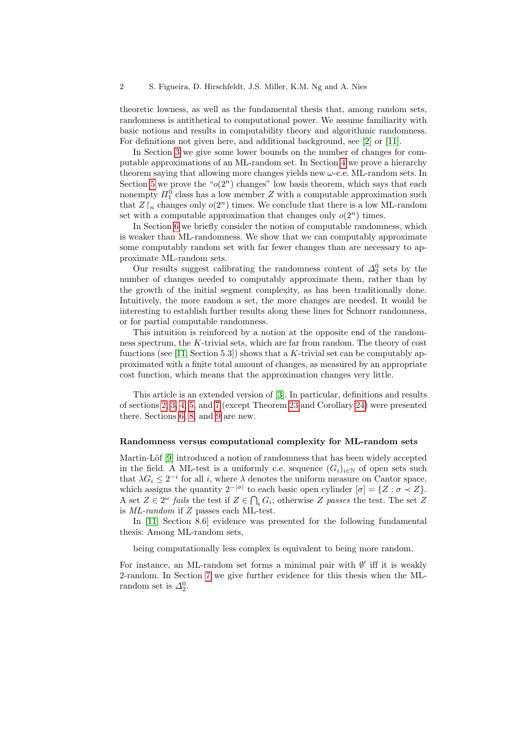theoretic lowness, as well as the fundamental thesis that, among random sets, randomness is antithetical to computational power. We assume familiarity with basic notions and results in computability theory and algorithmic randomness. For definitions not given here, and additional background, see [\[2\]](#page-18-0) or [\[11\]](#page-18-1).

In Section [3](#page-4-0) we give some lower bounds on the number of changes for computable approximations of an ML-random set. In Section [4](#page-5-0) we prove a hierarchy theorem saying that allowing more changes yields new  $\omega$ -c.e. ML-random sets. In Section [5](#page-7-0) we prove the " $o(2<sup>n</sup>)$  changes" low basis theorem, which says that each nonempty  $\Pi_1^0$  class has a low member Z with a computable approximation such that  $Z \upharpoonright_n$  changes only  $o(2^n)$  times. We conclude that there is a low ML-random set with a computable approximation that changes only  $o(2^n)$  times.

In Section [6](#page-9-0) we briefly consider the notion of computable randomness, which is weaker than ML-randomness. We show that we can computably approximate some computably random set with far fewer changes than are necessary to approximate ML-random sets.

Our results suggest calibrating the randomness content of  $\Delta_2^0$  sets by the number of changes needed to computably approximate them, rather than by the growth of the initial segment complexity, as has been traditionally done. Intuitively, the more random a set, the more changes are needed. It would be interesting to establish further results along these lines for Schnorr randomness, or for partial computable randomness.

This intuition is reinforced by a notion at the opposite end of the randomness spectrum, the K-trivial sets, which are far from random. The theory of cost functions (see [\[11,](#page-18-1) Section 5.3]) shows that a  $K$ -trivial set can be computably approximated with a finite total amount of changes, as measured by an appropriate cost function, which means that the approximation changes very little.

This article is an extended version of [\[3\]](#page-18-2). In particular, definitions and results of sections [2,](#page-3-0) [3,](#page-4-0) [4,](#page-5-0) [5,](#page-7-0) and [7](#page-10-0) (except Theorem [23](#page-12-0) and Corollary [24\)](#page-14-0) were presented there. Sections [6,](#page-9-0) [8,](#page-15-0) and [9](#page-17-0) are new.

#### Randomness versus computational complexity for ML-random sets

Martin-Löf [\[9\]](#page-18-3) introduced a notion of randomness that has been widely accepted in the field. A ML-test is a uniformly c.e. sequence  $(G_i)_{i\in\mathbb{N}}$  of open sets such that  $\lambda G_i \leq 2^{-i}$  for all i, where  $\lambda$  denotes the uniform measure on Cantor space, which assigns the quantity  $2^{-|\sigma|}$  to each basic open cylinder  $[\sigma] = \{Z : \sigma \prec Z\}.$ A set  $Z \in 2^{\omega}$  fails the test if  $Z \in \bigcap_i G_i$ ; otherwise Z passes the test. The set Z is ML-random if Z passes each ML-test.

In [\[11,](#page-18-1) Section 8.6] evidence was presented for the following fundamental thesis: Among ML-random sets,

being computationally less complex is equivalent to being more random.

For instance, an ML-random set forms a minimal pair with  $\emptyset'$  iff it is weakly 2-random. In Section [7](#page-10-0) we give further evidence for this thesis when the MLrandom set is  $\Delta_2^0$ .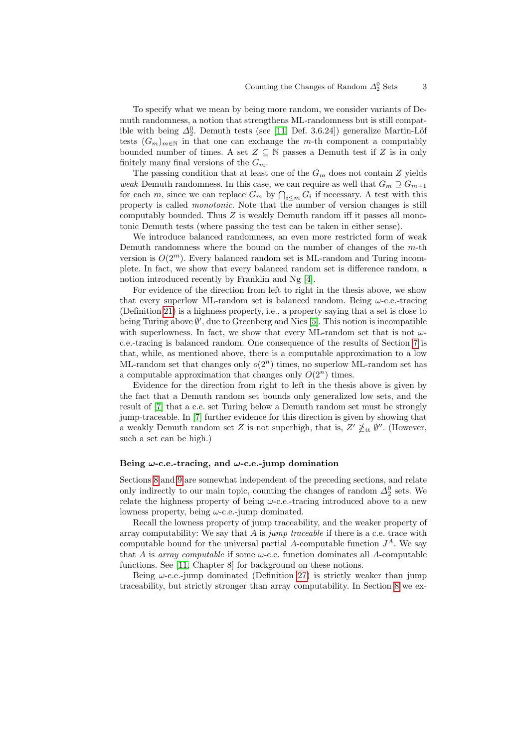To specify what we mean by being more random, we consider variants of Demuth randomness, a notion that strengthens ML-randomness but is still compatible with being  $\Delta_2^0$ . Demuth tests (see [\[11,](#page-18-1) Def. 3.6.24]) generalize Martin-Löf tests  $(G_m)_{m\in\mathbb{N}}$  in that one can exchange the m-th component a computably bounded number of times. A set  $Z \subseteq \mathbb{N}$  passes a Demuth test if Z is in only finitely many final versions of the  $G_m$ .

The passing condition that at least one of the  $G_m$  does not contain Z yields weak Demuth randomness. In this case, we can require as well that  $G_m \supseteq G_{m+1}$ for each m, since we can replace  $G_m$  by  $\bigcap_{i\leq m} G_i$  if necessary. A test with this property is called monotonic. Note that the number of version changes is still computably bounded. Thus  $Z$  is weakly Demuth random iff it passes all monotonic Demuth tests (where passing the test can be taken in either sense).

We introduce balanced randomness, an even more restricted form of weak Demuth randomness where the bound on the number of changes of the  $m$ -th version is  $O(2^m)$ . Every balanced random set is ML-random and Turing incomplete. In fact, we show that every balanced random set is difference random, a notion introduced recently by Franklin and Ng [\[4\]](#page-18-4).

For evidence of the direction from left to right in the thesis above, we show that every superlow ML-random set is balanced random. Being  $\omega$ -c.e.-tracing (Definition [21\)](#page-12-1) is a highness property, i.e., a property saying that a set is close to being Turing above  $\emptyset'$ , due to Greenberg and Nies [\[5\]](#page-18-5). This notion is incompatible with superlowness. In fact, we show that every ML-random set that is not  $\omega$ c.e.-tracing is balanced random. One consequence of the results of Section [7](#page-10-0) is that, while, as mentioned above, there is a computable approximation to a low ML-random set that changes only  $o(2^n)$  times, no superlow ML-random set has a computable approximation that changes only  $O(2^n)$  times.

Evidence for the direction from right to left in the thesis above is given by the fact that a Demuth random set bounds only generalized low sets, and the result of [\[7\]](#page-18-6) that a c.e. set Turing below a Demuth random set must be strongly jump-traceable. In [\[7\]](#page-18-6) further evidence for this direction is given by showing that a weakly Demuth random set Z is not superhigh, that is,  $Z' \nless_{\text{tt}} \emptyset''$ . (However, such a set can be high.)

#### Being  $\omega$ -c.e.-tracing, and  $\omega$ -c.e.-jump domination

Sections [8](#page-15-0) and [9](#page-17-0) are somewhat independent of the preceding sections, and relate only indirectly to our main topic, counting the changes of random  $\Delta_2^0$  sets. We relate the highness property of being  $\omega$ -c.e.-tracing introduced above to a new lowness property, being  $\omega$ -c.e.-jump dominated.

Recall the lowness property of jump traceability, and the weaker property of array computability: We say that  $A$  is jump traceable if there is a c.e. trace with computable bound for the universal partial A-computable function  $J^A$ . We say that A is array computable if some  $\omega$ -c.e. function dominates all A-computable functions. See [\[11,](#page-18-1) Chapter 8] for background on these notions.

Being  $\omega$ -c.e.-jump dominated (Definition [27\)](#page-15-1) is strictly weaker than jump traceability, but strictly stronger than array computability. In Section [8](#page-15-0) we ex-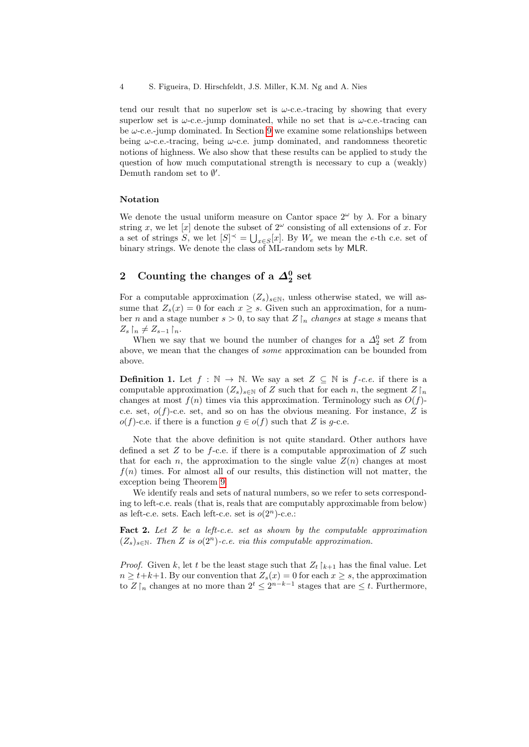tend our result that no superlow set is  $\omega$ -c.e.-tracing by showing that every superlow set is  $\omega$ -c.e.-jump dominated, while no set that is  $\omega$ -c.e.-tracing can be  $\omega$ -c.e.-jump dominated. In Section [9](#page-17-0) we examine some relationships between being  $\omega$ -c.e.-tracing, being  $\omega$ -c.e. jump dominated, and randomness theoretic notions of highness. We also show that these results can be applied to study the question of how much computational strength is necessary to cup a (weakly) Demuth random set to  $\emptyset'$ .

#### Notation

We denote the usual uniform measure on Cantor space  $2^{\omega}$  by  $\lambda$ . For a binary string x, we let [x] denote the subset of  $2^{\omega}$  consisting of all extensions of x. For a set of strings S, we let  $[S]^\prec = \bigcup_{x \in S} [x]$ . By  $W_e$  we mean the e-th c.e. set of binary strings. We denote the class of ML-random sets by MLR.

## <span id="page-3-0"></span>2 Counting the changes of a  $\varDelta^0_2$  set

For a computable approximation  $(Z_s)_{s\in\mathbb{N}}$ , unless otherwise stated, we will assume that  $Z_s(x) = 0$  for each  $x > s$ . Given such an approximation, for a number n and a stage number  $s > 0$ , to say that  $Z \upharpoonright_n$  changes at stage s means that  $Z_s$   $\upharpoonright_n \neq Z_{s-1}$   $\upharpoonright_n$ .

When we say that we bound the number of changes for a  $\Delta_2^0$  set Z from above, we mean that the changes of some approximation can be bounded from above.

<span id="page-3-1"></span>**Definition 1.** Let  $f : \mathbb{N} \to \mathbb{N}$ . We say a set  $Z \subseteq \mathbb{N}$  is  $f \text{-}c.e.$  if there is a computable approximation  $(Z_s)_{s\in\mathbb{N}}$  of Z such that for each n, the segment  $Z\upharpoonright_n$ changes at most  $f(n)$  times via this approximation. Terminology such as  $O(f)$ c.e. set,  $o(f)$ -c.e. set, and so on has the obvious meaning. For instance, Z is  $o(f)$ -c.e. if there is a function  $g \in o(f)$  such that Z is g-c.e.

Note that the above definition is not quite standard. Other authors have defined a set  $Z$  to be f-c.e. if there is a computable approximation of  $Z$  such that for each n, the approximation to the single value  $Z(n)$  changes at most  $f(n)$  times. For almost all of our results, this distinction will not matter, the exception being Theorem [9.](#page-6-0)

We identify reals and sets of natural numbers, so we refer to sets corresponding to left-c.e. reals (that is, reals that are computably approximable from below) as left-c.e. sets. Each left-c.e. set is  $o(2<sup>n</sup>)$ -c.e.:

<span id="page-3-2"></span>Fact 2. Let  $Z$  be a left-c.e. set as shown by the computable approximation  $(Z_s)_{s \in \mathbb{N}}$ . Then Z is  $o(2^n)$ -c.e. via this computable approximation.

*Proof.* Given k, let t be the least stage such that  $Z_t \upharpoonright_{k+1}$  has the final value. Let  $n \geq t+k+1$ . By our convention that  $Z_s(x) = 0$  for each  $x \geq s$ , the approximation to  $Z \upharpoonright_n$  changes at no more than  $2^t \leq 2^{n-k-1}$  stages that are  $\leq t$ . Furthermore,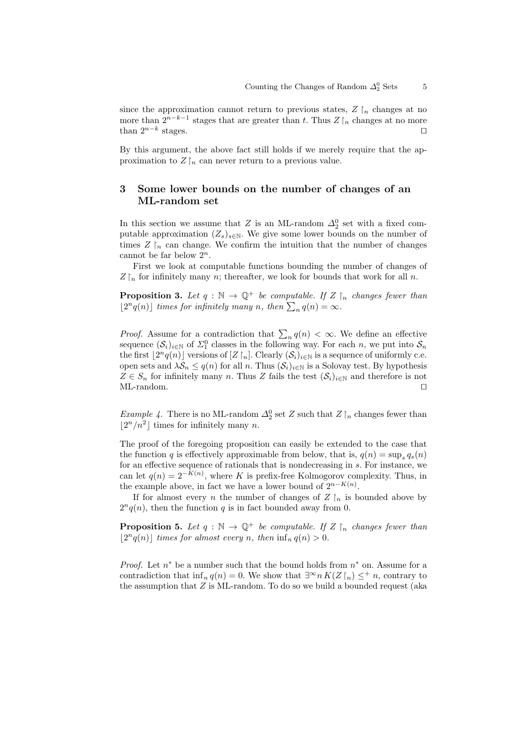since the approximation cannot return to previous states,  $Z \upharpoonright_n$  changes at no more than  $2^{n-k-1}$  stages that are greater than t. Thus  $Z \upharpoonright_n$  changes at no more than  $2^{n-k}$  stages. stages.  $\square$ 

By this argument, the above fact still holds if we merely require that the approximation to  $Z\upharpoonright_n$  can never return to a previous value.

## <span id="page-4-0"></span>3 Some lower bounds on the number of changes of an ML-random set

In this section we assume that Z is an ML-random  $\Delta_2^0$  set with a fixed computable approximation  $(Z_s)_{s\in\mathbb{N}}$ . We give some lower bounds on the number of times  $Z \upharpoonright_n$  can change. We confirm the intuition that the number of changes cannot be far below  $2^n$ .

First we look at computable functions bounding the number of changes of  $Z \upharpoonright_n$  for infinitely many n; thereafter, we look for bounds that work for all n.

<span id="page-4-1"></span>**Proposition 3.** Let  $q : \mathbb{N} \to \mathbb{Q}^+$  be computable. If  $Z \upharpoonright_n$  changes fewer than  $\lfloor 2^n q(n) \rfloor$  times for infinitely many n, then  $\sum_n q(n) = \infty$ .

*Proof.* Assume for a contradiction that  $\sum_{n} q(n) < \infty$ . We define an effective sequence  $(S_i)_{i\in\mathbb{N}}$  of  $\Sigma_1^0$  classes in the following way. For each n, we put into  $S_n$ the first  $\lfloor 2^n q(n) \rfloor$  versions of  $[Z \restriction_n]$ . Clearly  $(\mathcal{S}_i)_{i \in \mathbb{N}}$  is a sequence of uniformly c.e. open sets and  $\lambda \mathcal{S}_n \leq q(n)$  for all n. Thus  $(\mathcal{S}_i)_{i\in\mathbb{N}}$  is a Solovay test. By hypothesis  $Z \in S_n$  for infinitely many n. Thus Z fails the test  $(S_i)_{i \in \mathbb{N}}$  and therefore is not  $ML$ -random.

<span id="page-4-3"></span>*Example 4*. There is no ML-random  $\Delta_2^0$  set Z such that  $Z \upharpoonright_n$  changes fewer than  $\lfloor 2^n/n^2 \rfloor$  times for infinitely many n.

The proof of the foregoing proposition can easily be extended to the case that the function q is effectively approximable from below, that is,  $q(n) = \sup_s q_s(n)$ for an effective sequence of rationals that is nondecreasing in s. For instance, we can let  $q(n) = 2^{-K(n)}$ , where K is prefix-free Kolmogorov complexity. Thus, in the example above, in fact we have a lower bound of  $2^{n-K(n)}$ .

If for almost every n the number of changes of  $Z \upharpoonright_n$  is bounded above by  $2^n q(n)$ , then the function q is in fact bounded away from 0.

<span id="page-4-2"></span>**Proposition 5.** Let  $q : \mathbb{N} \to \mathbb{Q}^+$  be computable. If  $Z \upharpoonright_n$  changes fewer than  $\lfloor 2^n q(n) \rfloor$  times for almost every n, then  $\inf_n q(n) > 0$ .

*Proof.* Let  $n^*$  be a number such that the bound holds from  $n^*$  on. Assume for a contradiction that inf<sub>n</sub>  $q(n) = 0$ . We show that  $\exists^{\infty} n K(Z \restriction_n) \leq^+ n$ , contrary to the assumption that  $Z$  is ML-random. To do so we build a bounded request (aka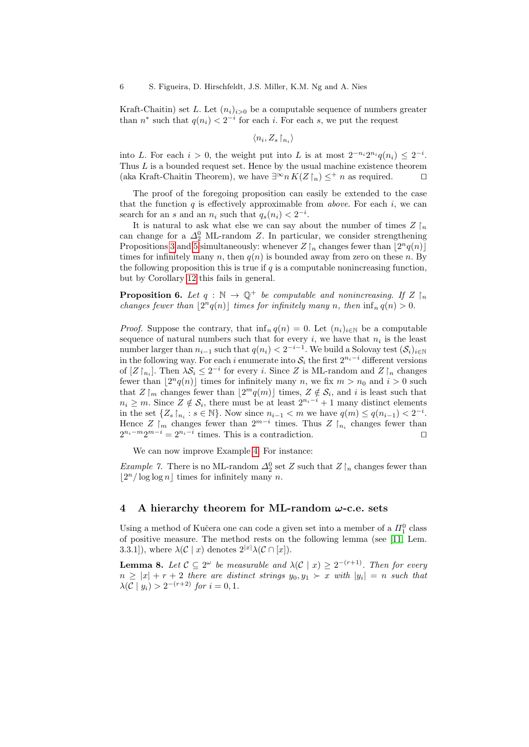Kraft-Chaitin) set L. Let  $(n_i)_{i>0}$  be a computable sequence of numbers greater than  $n^*$  such that  $q(n_i) < 2^{-i}$  for each i. For each s, we put the request

 $\langle n_i, Z_s \, \upharpoonright_{n_i} \rangle$ 

into L. For each  $i > 0$ , the weight put into L is at most  $2^{-n_i}2^{n_i}q(n_i) \leq 2^{-i}$ . Thus  $L$  is a bounded request set. Hence by the usual machine existence theorem (aka Kraft-Chaitin Theorem), we have  $\exists^{\infty} n K(Z \restriction_n) \leq^+ n$  as required.  $\square$ 

The proof of the foregoing proposition can easily be extended to the case that the function  $q$  is effectively approximable from *above*. For each  $i$ , we can search for an s and an  $n_i$  such that  $q_s(n_i) < 2^{-i}$ .

It is natural to ask what else we can say about the number of times  $Z \upharpoonright_n$ can change for a  $\Delta_2^0$  ML-random Z. In particular, we consider strengthening Propositions [3](#page-4-1) and [5](#page-4-2) simultaneously: whenever  $Z\lfloor_n$  changes fewer than  $\lfloor 2^n q(n)\rfloor$ times for infinitely many n, then  $q(n)$  is bounded away from zero on these n. By the following proposition this is true if  $q$  is a computable nonincreasing function, but by Corollary [12](#page-9-1) this fails in general.

<span id="page-5-2"></span>**Proposition 6.** Let  $q : \mathbb{N} \to \mathbb{Q}^+$  be computable and nonincreasing. If  $Z \upharpoonright_n$ changes fewer than  $\lfloor 2^n q(n) \rfloor$  times for infinitely many n, then  $\inf_n q(n) > 0$ .

*Proof.* Suppose the contrary, that  $\inf_n q(n) = 0$ . Let  $(n_i)_{i \in \mathbb{N}}$  be a computable sequence of natural numbers such that for every  $i$ , we have that  $n_i$  is the least number larger than  $n_{i-1}$  such that  $q(n_i) < 2^{-i-1}$ . We build a Solovay test  $(\mathcal{S}_i)_{i \in \mathbb{N}}$ in the following way. For each i enumerate into  $S_i$  the first  $2^{n_i-i}$  different versions of  $[Z\upharpoonright_{n_i}]$ . Then  $\lambda S_i \leq 2^{-i}$  for every *i*. Since Z is ML-random and  $Z\upharpoonright_n$  changes fewer than  $\lfloor 2^n q(n) \rfloor$  times for infinitely many n, we fix  $m > n_0$  and  $i > 0$  such that  $Z\upharpoonright_m$  changes fewer than  $\lfloor 2^m q(m)\rfloor$  times,  $Z \notin \mathcal{S}_i$ , and i is least such that  $n_i \geq m$ . Since  $Z \notin \mathcal{S}_i$ , there must be at least  $2^{n_i-i} + 1$  many distinct elements in the set  $\{Z_s \, | \, n_i : s \in \mathbb{N}\}\.$  Now since  $n_{i-1} < m$  we have  $q(m) \leq q(n_{i-1}) < 2^{-i}$ . Hence  $Z \rvert_m$  changes fewer than  $2^{m-i}$  times. Thus  $Z \rvert_{n_i}$  changes fewer than  $2^{n_i-m}2^{m-i} = 2^{n_i-i}$  times. This is a contradiction.

We can now improve Example [4.](#page-4-3) For instance:

*Example 7.* There is no ML-random  $\Delta_2^0$  set Z such that  $Z \upharpoonright_n$  changes fewer than  $\lfloor 2^n / \log \log n \rfloor$  times for infinitely many n.

### <span id="page-5-0"></span>4 A hierarchy theorem for ML-random  $\omega$ -c.e. sets

<span id="page-5-1"></span>Using a method of Kučera one can code a given set into a member of a  $\Pi^0_1$  class of positive measure. The method rests on the following lemma (see [\[11,](#page-18-1) Lem. 3.3.1]), where  $\lambda(\mathcal{C} \mid x)$  denotes  $2^{|x|} \lambda(\mathcal{C} \cap [x])$ .

**Lemma 8.** Let  $\mathcal{C} \subseteq 2^{\omega}$  be measurable and  $\lambda(\mathcal{C} \mid x) \geq 2^{-(r+1)}$ . Then for every  $n \geq |x| + r + 2$  there are distinct strings  $y_0, y_1 \succ x$  with  $|y_i| = n$  such that  $\lambda(\mathcal{C} \mid y_i) > 2^{-(r+2)}$  for  $i = 0, 1$ .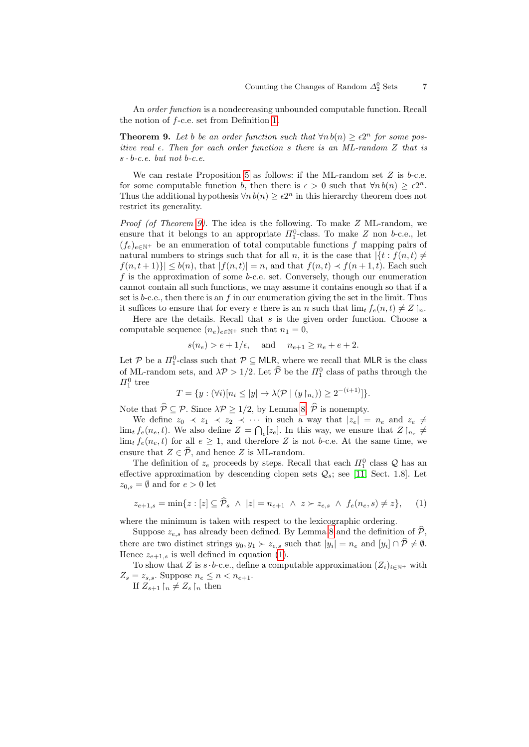An order function is a nondecreasing unbounded computable function. Recall the notion of f-c.e. set from Definition [1.](#page-3-1)

<span id="page-6-0"></span>**Theorem 9.** Let b be an order function such that  $\forall n b(n) \ge \epsilon 2^n$  for some positive real  $\epsilon$ . Then for each order function s there is an ML-random Z that is  $s \cdot b$ -c.e. but not b-c.e.

We can restate Proposition [5](#page-4-2) as follows: if the ML-random set  $Z$  is b-c.e. for some computable function b, then there is  $\epsilon > 0$  such that  $\forall n b(n) \geq \epsilon 2^n$ . Thus the additional hypothesis  $\forall n b(n) \geq \epsilon 2^n$  in this hierarchy theorem does not restrict its generality.

Proof (of Theorem [9\)](#page-6-0). The idea is the following. To make Z ML-random, we ensure that it belongs to an appropriate  $\Pi_1^0$ -class. To make Z non b-c.e., let  $(f_e)_{e \in \mathbb{N}^+}$  be an enumeration of total computable functions f mapping pairs of natural numbers to strings such that for all n, it is the case that  $\{t : f(n,t) \neq 0\}$  $|f(n, t+1)| \leq b(n)$ , that  $|f(n, t)| = n$ , and that  $f(n, t) \prec f(n+1, t)$ . Each such f is the approximation of some  $b$ -c.e. set. Conversely, though our enumeration cannot contain all such functions, we may assume it contains enough so that if a set is b-c.e., then there is an f in our enumeration giving the set in the limit. Thus it suffices to ensure that for every e there is an n such that  $\lim_{t \to \infty} f_e(n, t) \neq Z \upharpoonright_n$ .

Here are the details. Recall that  $s$  is the given order function. Choose a computable sequence  $(n_e)_{e \in \mathbb{N}^+}$  such that  $n_1 = 0$ ,

$$
s(n_e) > e + 1/\epsilon
$$
, and  $n_{e+1} \ge n_e + e + 2$ .

Let  $P$  be a  $\Pi_1^0$ -class such that  $P \subseteq \mathsf{MLR}$ , where we recall that MLR is the class of ML-random sets, and  $\lambda \mathcal{P} > 1/2$ . Let  $\widehat{\mathcal{P}}$  be the  $\Pi_1^0$  class of paths through the  $\Pi^0_1$  tree

$$
T = \{ y : (\forall i) [n_i \le |y| \to \lambda(\mathcal{P} \mid (y \upharpoonright_{n_i})) \ge 2^{-(i+1)}] \}.
$$

Note that  $\widehat{\mathcal{P}} \subseteq \mathcal{P}$ . Since  $\lambda \mathcal{P} \ge 1/2$ , by Lemma [8,](#page-5-1)  $\widehat{\mathcal{P}}$  is nonempty.

We define  $z_0 \prec z_1 \prec z_2 \prec \cdots$  in such a way that  $|z_e| = n_e$  and  $z_e \neq$  $\lim_{t} f_e(n_e, t)$ . We also define  $Z = \bigcap_e [z_e]$ . In this way, we ensure that  $Z \big|_{n_e} \neq$  $\lim_{t} f_e(n_e, t)$  for all  $e \geq 1$ , and therefore Z is not b-c.e. At the same time, we ensure that  $Z \in \widehat{\mathcal{P}}$ , and hence Z is ML-random.

The definition of  $z_e$  proceeds by steps. Recall that each  $\Pi_1^0$  class  $\mathcal Q$  has an effective approximation by descending clopen sets  $\mathcal{Q}_s$ ; see [\[11,](#page-18-1) Sect. 1.8]. Let  $z_{0,s} = \emptyset$  and for  $e > 0$  let

<span id="page-6-1"></span>
$$
z_{e+1,s} = \min\{z : [z] \subseteq \widehat{\mathcal{P}}_s \ \wedge \ |z| = n_{e+1} \ \wedge \ z \succ z_{e,s} \ \wedge \ f_e(n_e, s) \neq z\},\qquad(1)
$$

where the minimum is taken with respect to the lexicographic ordering.

Suppose  $z_{e,s}$  has already been defined. By Lemma [8](#page-5-1) and the definition of  $\hat{\mathcal{P}}$ , there are two distinct strings  $y_0, y_1 \succ z_{e,s}$  such that  $|y_i| = n_e$  and  $[y_i] \cap \mathcal{P} \neq \emptyset$ . Hence  $z_{e+1,s}$  is well defined in equation [\(1\)](#page-6-1).

To show that Z is s  $\cdot b$ -c.e., define a computable approximation  $(Z_i)_{i\in\mathbb{N}^+}$  with  $Z_s = z_{s,s}$ . Suppose  $n_e \leq n < n_{e+1}$ .

If  $Z_{s+1} \restriction_n \neq Z_s \restriction_n$  then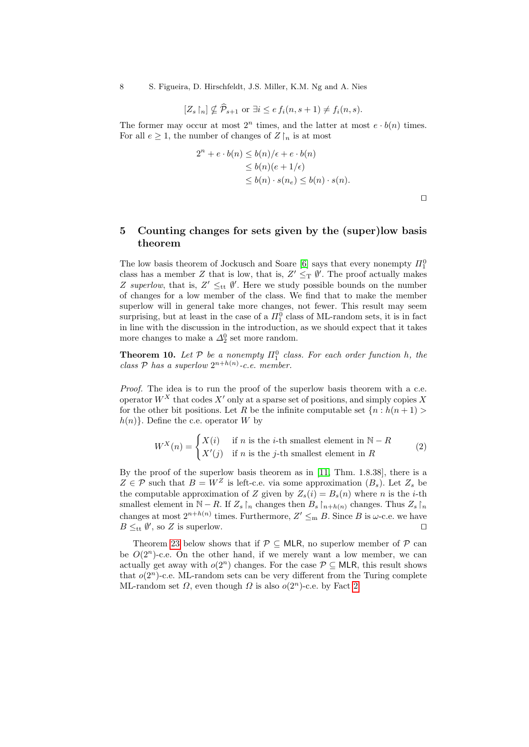8 S. Figueira, D. Hirschfeldt, J.S. Miller, K.M. Ng and A. Nies

$$
[Z_s \upharpoonright_n] \nsubseteq \widehat{\mathcal{P}}_{s+1}
$$
 or  $\exists i \leq e f_i(n, s+1) \neq f_i(n, s)$ .

The former may occur at most  $2^n$  times, and the latter at most  $e \cdot b(n)$  times. For all  $e \geq 1$ , the number of changes of  $Z \upharpoonright_n$  is at most

$$
2^{n} + e \cdot b(n) \leq b(n)/\epsilon + e \cdot b(n)
$$
  
\n
$$
\leq b(n)(e + 1/\epsilon)
$$
  
\n
$$
\leq b(n) \cdot s(n_e) \leq b(n) \cdot s(n).
$$

 $\Box$ 

## <span id="page-7-0"></span>5 Counting changes for sets given by the (super)low basis theorem

The low basis theorem of Jockusch and Soare [\[6\]](#page-18-7) says that every nonempty  $\Pi^0_1$ class has a member Z that is low, that is,  $Z' \leq_T \emptyset'$ . The proof actually makes Z superlow, that is,  $Z' \leq_{tt} \emptyset'$ . Here we study possible bounds on the number of changes for a low member of the class. We find that to make the member superlow will in general take more changes, not fewer. This result may seem surprising, but at least in the case of a  $\Pi^0_1$  class of ML-random sets, it is in fact in line with the discussion in the introduction, as we should expect that it takes more changes to make a  $\Delta_2^0$  set more random.

<span id="page-7-1"></span>**Theorem 10.** Let  $P$  be a nonempty  $\Pi_1^0$  class. For each order function h, the class  $P$  has a superlow  $2^{n+h(n)}$ -c.e. member.

Proof. The idea is to run the proof of the superlow basis theorem with a c.e. operator  $W^X$  that codes X' only at a sparse set of positions, and simply copies X for the other bit positions. Let R be the infinite computable set  $\{n : h(n+1) >$  $h(n)$ . Define the c.e. operator W by

$$
W^X(n) = \begin{cases} X(i) & \text{if } n \text{ is the } i\text{-th smallest element in } \mathbb{N} - R \\ X'(j) & \text{if } n \text{ is the } j\text{-th smallest element in } R \end{cases}
$$
 (2)

By the proof of the superlow basis theorem as in [\[11,](#page-18-1) Thm. 1.8.38], there is a  $Z \in \mathcal{P}$  such that  $B = W^Z$  is left-c.e. via some approximation  $(B_s)$ . Let  $Z_s$  be the computable approximation of Z given by  $Z_s(i) = B_s(n)$  where n is the *i*-th smallest element in  $\mathbb{N} - R$ . If  $Z_s \upharpoonright_n$  changes then  $B_s \upharpoonright_{n+h(n)}$  changes. Thus  $Z_s \upharpoonright_n$ changes at most  $2^{n+h(n)}$  times. Furthermore,  $Z' \leq_m B$ . Since B is  $\omega$ -c.e. we have  $B \leq_{tt} \emptyset'$ , so Z is superlow.

<span id="page-7-2"></span>Theorem [23](#page-12-0) below shows that if  $P \subseteq MLR$ , no superlow member of P can be  $O(2^n)$ -c.e. On the other hand, if we merely want a low member, we can actually get away with  $o(2^n)$  changes. For the case  $P \subseteq MLR$ , this result shows that  $o(2<sup>n</sup>)$ -c.e. ML-random sets can be very different from the Turing complete ML-random set  $\Omega$ , even though  $\Omega$  is also  $o(2^n)$ -c.e. by Fact [2.](#page-3-2)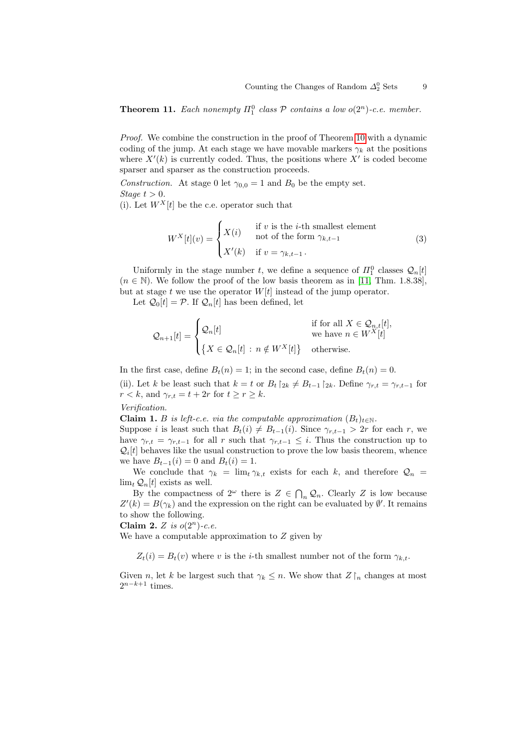**Theorem 11.** Each nonempty  $\Pi_1^0$  class  $P$  contains a low  $o(2^n)$ -c.e. member.

Proof. We combine the construction in the proof of Theorem [10](#page-7-1) with a dynamic coding of the jump. At each stage we have movable markers  $\gamma_k$  at the positions where  $X'(k)$  is currently coded. Thus, the positions where  $X'$  is coded become sparser and sparser as the construction proceeds.

Construction. At stage 0 let  $\gamma_{0,0} = 1$  and  $B_0$  be the empty set. Stage  $t > 0$ .

(i). Let  $W^X[t]$  be the c.e. operator such that

$$
W^{X}[t](v) = \begin{cases} X(i) & \text{if } v \text{ is the } i\text{-th smallest element} \\ \text{not of the form } \gamma_{k,t-1} \\ X'(k) & \text{if } v = \gamma_{k,t-1} \end{cases}
$$
 (3)

Uniformly in the stage number t, we define a sequence of  $\Pi_1^0$  classes  $\mathcal{Q}_n[t]$  $(n \in \mathbb{N})$ . We follow the proof of the low basis theorem as in [\[11,](#page-18-1) Thm. 1.8.38], but at stage t we use the operator  $W[t]$  instead of the jump operator.

Let  $\mathcal{Q}_0[t] = \mathcal{P}$ . If  $\mathcal{Q}_n[t]$  has been defined, let

$$
\mathcal{Q}_{n+1}[t] = \begin{cases} \mathcal{Q}_n[t] & \text{if for all } X \in \mathcal{Q}_{n,t}[t], \\ \{ X \in \mathcal{Q}_n[t] : n \notin W^X[t] \} & \text{otherwise.} \end{cases}
$$

In the first case, define  $B_t(n) = 1$ ; in the second case, define  $B_t(n) = 0$ .

(ii). Let k be least such that  $k = t$  or  $B_t \upharpoonright_{2k} \neq B_{t-1} \upharpoonright_{2k}$ . Define  $\gamma_{r,t} = \gamma_{r,t-1}$  for  $r < k$ , and  $\gamma_{r,t} = t + 2r$  for  $t \ge r \ge k$ .

#### Verification.

**Claim 1.** B is left-c.e. via the computable approximation  $(B_t)_{t \in \mathbb{N}}$ .

Suppose i is least such that  $B_t(i) \neq B_{t-1}(i)$ . Since  $\gamma_{r,t-1} > 2r$  for each r, we have  $\gamma_{r,t} = \gamma_{r,t-1}$  for all r such that  $\gamma_{r,t-1} \leq i$ . Thus the construction up to  $\mathcal{Q}_i[t]$  behaves like the usual construction to prove the low basis theorem, whence we have  $B_{t-1}(i) = 0$  and  $B_t(i) = 1$ .

We conclude that  $\gamma_k = \lim_{t \to k, t}$  exists for each k, and therefore  $\mathcal{Q}_n$  $\lim_{t} \mathcal{Q}_n[t]$  exists as well.

By the compactness of  $2^{\omega}$  there is  $Z \in \bigcap_n \mathcal{Q}_n$ . Clearly Z is low because  $Z'(k) = B(\gamma_k)$  and the expression on the right can be evaluated by  $\emptyset'$ . It remains to show the following.

Claim 2. Z is  $o(2^n)$ -c.e.

We have a computable approximation to Z given by

 $Z_t(i) = B_t(v)$  where v is the *i*-th smallest number not of the form  $\gamma_{k,t}$ .

Given *n*, let k be largest such that  $\gamma_k \leq n$ . We show that  $Z \upharpoonright_n$  changes at most  $2^{n-k+1}$  times.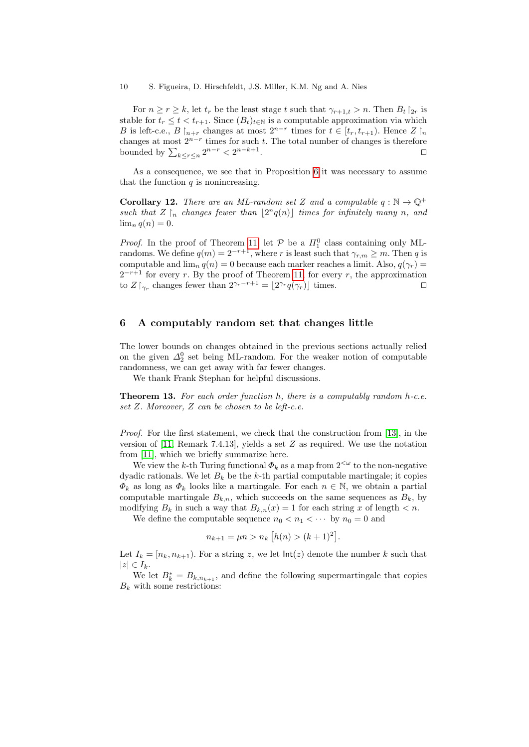10 S. Figueira, D. Hirschfeldt, J.S. Miller, K.M. Ng and A. Nies

For  $n \geq r \geq k$ , let  $t_r$  be the least stage t such that  $\gamma_{r+1,t} > n$ . Then  $B_t \upharpoonright_{2r}$  is stable for  $t_r \leq t < t_{r+1}$ . Since  $(B_t)_{t \in \mathbb{N}}$  is a computable approximation via which B is left-c.e.,  $B \nvert_{n+r}$  changes at most  $2^{n-r}$  times for  $t \in [t_r, t_{r+1})$ . Hence  $Z \nvert_n$ changes at most  $2^{n-r}$  times for such t. The total number of changes is therefore bounded by  $\sum_{k \leq r \leq n} 2^{n-r} < 2^{n-k+1}$ .

As a consequence, we see that in Proposition [6](#page-5-2) it was necessary to assume that the function  $q$  is nonincreasing.

<span id="page-9-1"></span>**Corollary 12.** There are an ML-random set Z and a computable  $q : \mathbb{N} \to \mathbb{Q}^+$ such that  $Z \upharpoonright_n$  changes fewer than  $\lfloor 2^n q(n) \rfloor$  times for infinitely many n, and  $\lim_{n} q(n) = 0.$ 

*Proof.* In the proof of Theorem [11,](#page-7-2) let  $P$  be a  $\Pi_1^0$  class containing only MLrandoms. We define  $q(m) = 2^{-r+1}$ , where r is least such that  $\gamma_{r,m} \geq m$ . Then q is computable and  $\lim_{n} q(n) = 0$  because each marker reaches a limit. Also,  $q(\gamma_r) =$  $2^{-r+1}$  for every r. By the proof of Theorem [11,](#page-7-2) for every r, the approximation to  $Z \upharpoonright_{\gamma_r}$  changes fewer than  $2^{\gamma_r-r+1} = \lfloor 2^{\gamma_r} q(\gamma_r) \rfloor$  times.

#### <span id="page-9-0"></span>6 A computably random set that changes little

The lower bounds on changes obtained in the previous sections actually relied on the given  $\Delta_2^0$  set being ML-random. For the weaker notion of computable randomness, we can get away with far fewer changes.

We thank Frank Stephan for helpful discussions.

**Theorem 13.** For each order function  $h$ , there is a computably random  $h$ -c.e. set Z. Moreover, Z can be chosen to be left-c.e.

Proof. For the first statement, we check that the construction from [\[13\]](#page-18-8), in the version of [\[11,](#page-18-1) Remark 7.4.13], yields a set Z as required. We use the notation from [\[11\]](#page-18-1), which we briefly summarize here.

We view the k-th Turing functional  $\Phi_k$  as a map from  $2^{<\omega}$  to the non-negative dyadic rationals. We let  $B_k$  be the k-th partial computable martingale; it copies  $\Phi_k$  as long as  $\Phi_k$  looks like a martingale. For each  $n \in \mathbb{N}$ , we obtain a partial computable martingale  $B_{k,n}$ , which succeeds on the same sequences as  $B_k$ , by modifying  $B_k$  in such a way that  $B_{k,n}(x) = 1$  for each string x of length  $\lt n$ .

We define the computable sequence  $n_0 < n_1 < \cdots$  by  $n_0 = 0$  and

$$
n_{k+1} = \mu n > n_k \left[ h(n) > (k+1)^2 \right].
$$

Let  $I_k = [n_k, n_{k+1})$ . For a string z, we let  $\text{Int}(z)$  denote the number k such that  $|z| \in I_k$ .

We let  $B_k^* = B_{k,n_{k+1}}$ , and define the following supermartingale that copies  $B_k$  with some restrictions: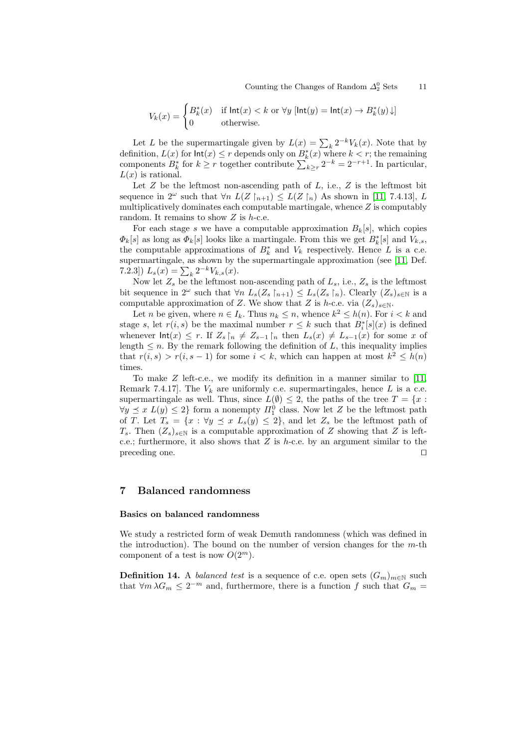$$
V_k(x) = \begin{cases} B_k^*(x) & \text{if } \mathsf{Int}(x) < k \text{ or } \forall y \ [\mathsf{Int}(y) = \mathsf{Int}(x) \to B_k^*(y) \downarrow] \\ 0 & \text{otherwise.} \end{cases}
$$

Let L be the supermartingale given by  $L(x) = \sum_k 2^{-k} V_k(x)$ . Note that by definition,  $L(x)$  for  $\text{Int}(x) \leq r$  depends only on  $B_k^*(x)$  where  $k < r$ ; the remaining components  $B_k^*$  for  $k \geq r$  together contribute  $\sum_{k \geq r} 2^{-k} = 2^{-r+1}$ . In particular,  $L(x)$  is rational.

Let  $Z$  be the leftmost non-ascending path of  $L$ , i.e.,  $Z$  is the leftmost bit sequence in  $2^{\omega}$  such that  $\forall n \ L(Z \nvert_{n+1}) \leq L(Z \nvert_n)$  As shown in [\[11,](#page-18-1) 7.4.13], L multiplicatively dominates each computable martingale, whence  $Z$  is computably random. It remains to show  $Z$  is  $h$ -c.e.

For each stage s we have a computable approximation  $B_k[s]$ , which copies  $\Phi_k[s]$  as long as  $\Phi_k[s]$  looks like a martingale. From this we get  $B_k^*[s]$  and  $V_{k,s}$ , the computable approximations of  $B_k^*$  and  $V_k$  respectively. Hence L is a c.e. supermartingale, as shown by the supermartingale approximation (see [\[11,](#page-18-1) Def. 7.2.3])  $L_s(x) = \sum_k 2^{-k} V_{k,s}(x)$ .

Now let  $Z_s$  be the leftmost non-ascending path of  $L_s$ , i.e.,  $Z_s$  is the leftmost bit sequence in  $2^{\omega}$  such that  $\forall n L_s(Z_s \upharpoonright_{n+1}) \leq L_s(Z_s \upharpoonright_n)$ . Clearly  $(Z_s)_{s \in \mathbb{N}}$  is a computable approximation of Z. We show that Z is h-c.e. via  $(Z_s)_{s\in\mathbb{N}}$ .

Let *n* be given, where  $n \in I_k$ . Thus  $n_k \leq n$ , whence  $k^2 \leq h(n)$ . For  $i < k$  and stage s, let  $r(i, s)$  be the maximal number  $r \leq k$  such that  $B_i^*[s](x)$  is defined whenever  $\text{Int}(x) \leq r$ . If  $Z_s$   $\upharpoonright_n \neq Z_{s-1}$   $\upharpoonright_n$  then  $L_s(x) \neq L_{s-1}(x)$  for some x of length  $\leq n$ . By the remark following the definition of L, this inequality implies that  $r(i, s) > r(i, s - 1)$  for some  $i < k$ , which can happen at most  $k^2 \leq h(n)$ times.

To make  $Z$  left-c.e., we modify its definition in a manner similar to [\[11,](#page-18-1) Remark 7.4.17]. The  $V_k$  are uniformly c.e. supermartingales, hence L is a c.e. supermartingale as well. Thus, since  $L(\emptyset) \leq 2$ , the paths of the tree  $T = \{x :$  $\forall y \preceq x \ L(y) \leq 2$  form a nonempty  $\Pi_1^0$  class. Now let Z be the leftmost path of T. Let  $T_s = \{x : \forall y \preceq x \ L_s(y) \leq 2\}$ , and let  $Z_s$  be the leftmost path of  $T_s$ . Then  $(Z_s)_{s\in\mathbb{N}}$  is a computable approximation of Z showing that Z is leftc.e.; furthermore, it also shows that  $Z$  is h-c.e. by an argument similar to the preceding one.  $\Box$ 

#### <span id="page-10-0"></span>7 Balanced randomness

#### Basics on balanced randomness

We study a restricted form of weak Demuth randomness (which was defined in the introduction). The bound on the number of version changes for the  $m$ -th component of a test is now  $O(2^m)$ .

<span id="page-10-1"></span>**Definition 14.** A *balanced test* is a sequence of c.e. open sets  $(G_m)_{m\in\mathbb{N}}$  such that  $\forall m \lambda G_m \leq 2^{-m}$  and, furthermore, there is a function f such that  $G_m =$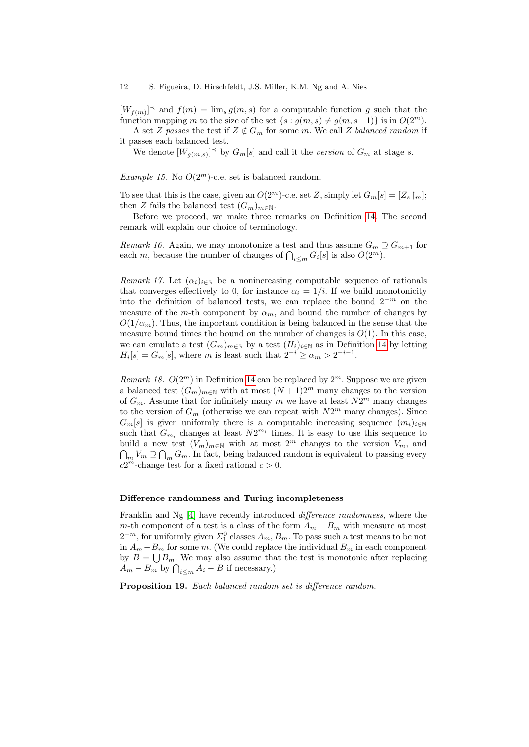$[W_{f(m)}]$ <sup> $\prec$ </sup> and  $f(m) = \lim_{s} g(m, s)$  for a computable function g such that the function mapping m to the size of the set  $\{s : g(m, s) \neq g(m, s-1)\}\$ is in  $O(2^m)$ .

A set Z passes the test if  $Z \notin G_m$  for some m. We call Z balanced random if it passes each balanced test.

We denote  $[W_{g(m,s)}]^\prec$  by  $G_m[s]$  and call it the version of  $G_m$  at stage s.

Example 15. No  $O(2^m)$ -c.e. set is balanced random.

To see that this is the case, given an  $O(2^m)$ -c.e. set Z, simply let  $G_m[s] = [Z_s]_m$ ; then Z fails the balanced test  $(G_m)_{m \in \mathbb{N}}$ .

Before we proceed, we make three remarks on Definition [14.](#page-10-1) The second remark will explain our choice of terminology.

Remark 16. Again, we may monotonize a test and thus assume  $G_m \supseteq G_{m+1}$  for each m, because the number of changes of  $\bigcap_{i \leq m} G_i[s]$  is also  $O(2^m)$ .

Remark 17. Let  $(\alpha_i)_{i\in\mathbb{N}}$  be a nonincreasing computable sequence of rationals that converges effectively to 0, for instance  $\alpha_i = 1/i$ . If we build monotonicity into the definition of balanced tests, we can replace the bound  $2^{-m}$  on the measure of the m-th component by  $\alpha_m$ , and bound the number of changes by  $O(1/\alpha_m)$ . Thus, the important condition is being balanced in the sense that the measure bound times the bound on the number of changes is  $O(1)$ . In this case, we can emulate a test  $(G_m)_{m\in\mathbb{N}}$  by a test  $(H_i)_{i\in\mathbb{N}}$  as in Definition [14](#page-10-1) by letting  $H_i[s] = G_m[s]$ , where m is least such that  $2^{-i} \ge \alpha_m > 2^{-i-1}$ .

Remark 18.  $O(2^m)$  in Definition [14](#page-10-1) can be replaced by  $2^m$ . Suppose we are given a balanced test  $(G_m)_{m\in\mathbb{N}}$  with at most  $(N+1)2^m$  many changes to the version of  $G_m$ . Assume that for infinitely many m we have at least  $N2^m$  many changes to the version of  $G_m$  (otherwise we can repeat with  $N2^m$  many changes). Since  $G_m[s]$  is given uniformly there is a computable increasing sequence  $(m_i)_{i\in\mathbb{N}}$ such that  $G_{m_i}$  changes at least  $N2^{m_i}$  times. It is easy to use this sequence to build a new test  $(V_m)_{m\in\mathbb{N}}$  with at most  $2^m$  changes to the version  $V_m$ , and  $\bigcap_m V_m \supseteq \bigcap_m G_m$ . In fact, being balanced random is equivalent to passing every  $c2^m$ -change test for a fixed rational  $c > 0$ .

#### Difference randomness and Turing incompleteness

Franklin and Ng [\[4\]](#page-18-4) have recently introduced *difference randomness*, where the m-th component of a test is a class of the form  $A_m - B_m$  with measure at most  $2^{-m}$ , for uniformly given  $\Sigma_1^0$  classes  $A_m, B_m$ . To pass such a test means to be not in  $A_m - B_m$  for some m. (We could replace the individual  $B_m$  in each component by  $B = \bigcup B_m$ . We may also assume that the test is monotonic after replacing  $A_m - B_m$  by  $\bigcap_{i \leq m} A_i - B$  if necessary.)

Proposition 19. Each balanced random set is difference random.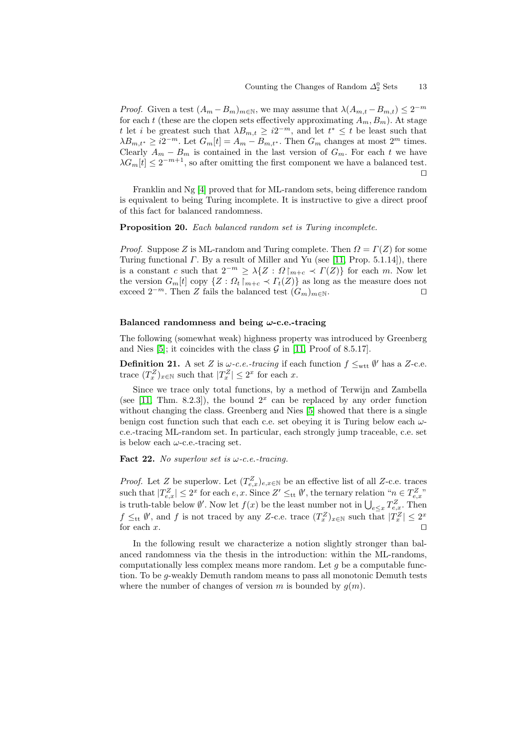*Proof.* Given a test  $(A_m - B_m)_{m \in \mathbb{N}}$ , we may assume that  $\lambda(A_{m,t} - B_{m,t}) \leq 2^{-m}$ for each t (these are the clopen sets effectively approximating  $A_m, B_m$ ). At stage t let i be greatest such that  $\lambda B_{m,t} \geq i2^{-m}$ , and let  $t^* \leq t$  be least such that  $\lambda B_{m,t^*} \geq i2^{-m}$ . Let  $G_m[t] = A_m - B_{m,t^*}$ . Then  $G_m$  changes at most  $2^m$  times. Clearly  $A_m - B_m$  is contained in the last version of  $G_m$ . For each t we have  $\lambda G_m[t] \leq 2^{-m+1}$ , so after omitting the first component we have a balanced test.  $\Box$ 

Franklin and Ng [\[4\]](#page-18-4) proved that for ML-random sets, being difference random is equivalent to being Turing incomplete. It is instructive to give a direct proof of this fact for balanced randomness.

Proposition 20. Each balanced random set is Turing incomplete.

*Proof.* Suppose Z is ML-random and Turing complete. Then  $\Omega = \Gamma(Z)$  for some Turing functional  $\Gamma$ . By a result of Miller and Yu (see [\[11,](#page-18-1) Prop. 5.1.14]), there is a constant c such that  $2^{-m} \geq \lambda \{Z : \Omega\}_{m+c} \prec \Gamma(Z) \}$  for each m. Now let the version  $G_m[t]$  copy  $\{Z : \Omega_t \mid_{m+c} \mathcal{I}_t(Z)\}$  as long as the measure does not exceed  $2^{-m}$ . Then Z fails the balanced test  $(G_m)_{m\in\mathbb{N}}$ .

#### Balanced randomness and being  $\omega$ -c.e.-tracing

<span id="page-12-1"></span>The following (somewhat weak) highness property was introduced by Greenberg and Nies [\[5\]](#page-18-5); it coincides with the class  $G$  in [\[11,](#page-18-1) Proof of 8.5.17].

**Definition 21.** A set Z is  $\omega$ -c.e.-tracing if each function  $f \leq_{\text{wtt}} \emptyset'$  has a Z-c.e. trace  $(T_x^Z)_{x \in \mathbb{N}}$  such that  $|T_x^Z| \leq 2^x$  for each x.

Since we trace only total functions, by a method of Terwijn and Zambella (see [\[11,](#page-18-1) Thm. 8.2.3]), the bound  $2^x$  can be replaced by any order function without changing the class. Greenberg and Nies [\[5\]](#page-18-5) showed that there is a single benign cost function such that each c.e. set obeying it is Turing below each  $\omega$ c.e.-tracing ML-random set. In particular, each strongly jump traceable, c.e. set is below each  $\omega$ -c.e.-tracing set.

<span id="page-12-2"></span>Fact 22. No superlow set is  $\omega$ -c.e.-tracing.

*Proof.* Let Z be superlow. Let  $(T_{e,x}^Z)_{e,x\in\mathbb{N}}$  be an effective list of all Z-c.e. traces such that  $|T_{e,x}^Z| \leq 2^x$  for each  $e, x$ . Since  $Z' \leq_{\text{tt}} \emptyset'$ , the ternary relation " $n \in T_{e,x}^Z$ " is truth-table below  $\emptyset'$ . Now let  $f(x)$  be the least number not in  $\bigcup_{e \leq x} T_{e,x}^Z$ . Then  $f \leq_{tt} \emptyset'$ , and f is not traced by any Z-c.e. trace  $(T_x^Z)_{x \in \mathbb{N}}$  such that  $|T_x^Z| \leq 2^x$ for each  $x$ .

<span id="page-12-0"></span>In the following result we characterize a notion slightly stronger than balanced randomness via the thesis in the introduction: within the ML-randoms, computationally less complex means more random. Let  $g$  be a computable function. To be g-weakly Demuth random means to pass all monotonic Demuth tests where the number of changes of version m is bounded by  $g(m)$ .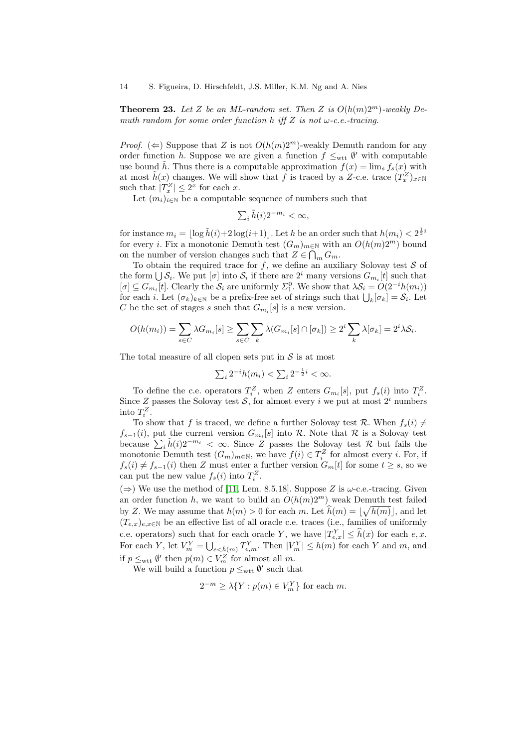**Theorem 23.** Let Z be an ML-random set. Then Z is  $O(h(m)2^m)$ -weakly Demuth random for some order function h iff Z is not  $\omega$ -c.e.-tracing.

*Proof.* ( $\Leftarrow$ ) Suppose that Z is not  $O(h(m)2^m)$ -weakly Demuth random for any order function h. Suppose we are given a function  $f \leq_{\text{wtt}} \emptyset'$  with computable use bound h. Thus there is a computable approximation  $f(x) = \lim_{s} f_s(x)$  with at most  $\tilde{h}(x)$  changes. We will show that f is traced by a Z-c.e. trace  $(T_x^Z)_{x\in\mathbb{N}}$ such that  $|T_x^Z| \leq 2^x$  for each x.

Let  $(m_i)_{i\in\mathbb{N}}$  be a computable sequence of numbers such that

$$
\textstyle\sum_i\tilde{h}(i)2^{-m_i}<\infty,
$$

for instance  $m_i = \lfloor \log \tilde{h}(i) + 2 \log(i+1) \rfloor$ . Let h be an order such that  $h(m_i) < 2^{\frac{1}{2}i}$ for every *i*. Fix a monotonic Demuth test  $(G_m)_{m\in\mathbb{N}}$  with an  $O(h(m)2^m)$  bound on the number of version changes such that  $Z \in \bigcap_m G_m$ .

To obtain the required trace for  $f$ , we define an auxiliary Solovay test  $S$  of the form  $\bigcup \mathcal{S}_i$ . We put  $[\sigma]$  into  $\mathcal{S}_i$  if there are  $2^i$  many versions  $G_{m_i}[t]$  such that  $[\sigma] \subseteq G_{m_i}[t]$ . Clearly the  $S_i$  are uniformly  $\Sigma_1^0$ . We show that  $\lambda S_i = O(2^{-i}h(m_i))$ for each *i*. Let  $(\sigma_k)_{k\in\mathbb{N}}$  be a prefix-free set of strings such that  $\bigcup_k [\sigma_k] = \mathcal{S}_i$ . Let C be the set of stages s such that  $G_{m_i}[s]$  is a new version.

$$
O(h(m_i)) = \sum_{s \in C} \lambda G_{m_i}[s] \ge \sum_{s \in C} \sum_k \lambda (G_{m_i}[s] \cap [\sigma_k]) \ge 2^i \sum_k \lambda [\sigma_k] = 2^i \lambda S_i.
$$

The total measure of all clopen sets put in  $S$  is at most

$$
\sum_i 2^{-i}h(m_i) < \sum_i 2^{-\frac{1}{2}i} < \infty.
$$

To define the c.e. operators  $T_i^Z$ , when Z enters  $G_{m_i}[s]$ , put  $f_s(i)$  into  $T_i^Z$ . Since Z passes the Solovay test  $S$ , for almost every i we put at most  $2<sup>i</sup>$  numbers into  $T_i^Z$ .

To show that f is traced, we define a further Solovay test R. When  $f_s(i) \neq$  $f_{s-1}(i)$ , put the current version  $G_{m_i}[s]$  into R. Note that R is a Solovay test because  $\sum_i \tilde{h}(i)2^{-m_i} < \infty$ . Since Z passes the Solovay test R but fails the because  $\sum_i h(i)Z \leq \infty$ . Since  $Z$  passes the Solovay test  $\Lambda$  but fails the monotonic Demuth test  $(G_m)_{m \in \mathbb{N}}$ , we have  $f(i) \in T_i^Z$  for almost every *i*. For, if  $f_s(i) \neq f_{s-1}(i)$  then Z must enter a further version  $G_m[t]$  for some  $t \geq s$ , so we can put the new value  $f_s(i)$  into  $T_i^Z$ .

(⇒) We use the method of [\[11,](#page-18-1) Lem. 8.5.18]. Suppose Z is  $\omega$ -c.e.-tracing. Given an order function h, we want to build an  $O(h(m)2^m)$  weak Demuth test failed by Z. We may assume that  $h(m) > 0$  for each m. Let  $\widehat{h}(m) = \lfloor \sqrt{h(m)} \rfloor$ , and let  $(T_{e,x})_{e,x\in\mathbb{N}}$  be an effective list of all oracle c.e. traces (i.e., families of uniformly c.e. operators) such that for each oracle Y, we have  $|T_{e,x}^Y| \leq \hat{h}(x)$  for each  $e, x$ . For each Y, let  $V_m^Y = \bigcup_{e \le \hat{h}(m)} T_{e,m}^Y$ . Then  $|V_m^Y| \le h(m)$  for each Y and m, and if  $p \leq_{\text{wtt}} \emptyset'$  then  $p(m) \in V_m^Z$  for almost all m.

We will build a function  $p \leq_{\text{wtt}} \emptyset'$  such that

$$
2^{-m} \ge \lambda \{ Y : p(m) \in V_m^Y \} \text{ for each } m.
$$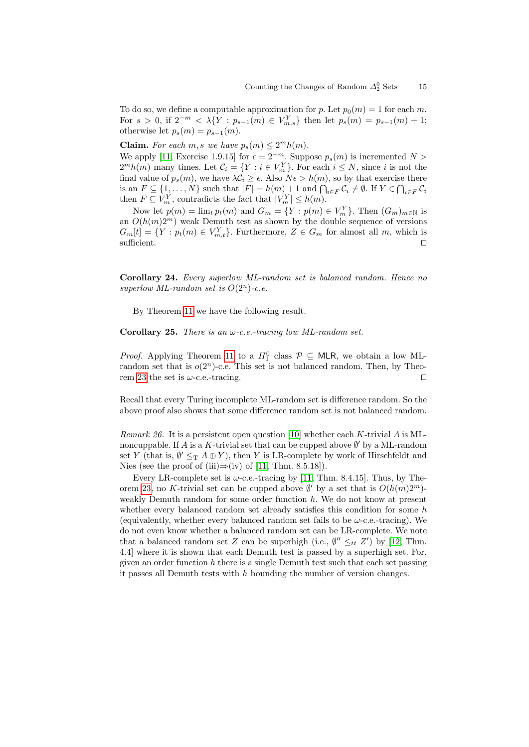To do so, we define a computable approximation for p. Let  $p_0(m) = 1$  for each m. For  $s > 0$ , if  $2^{-m} < \lambda \{ Y : p_{s-1}(m) \in V_{m,s}^Y \}$  then let  $p_s(m) = p_{s-1}(m) + 1$ ; otherwise let  $p_s(m) = p_{s-1}(m)$ .

**Claim.** For each  $m, s$  we have  $p_s(m) \leq 2^m h(m)$ .

We apply [\[11,](#page-18-1) Exercise 1.9.15] for  $\epsilon = 2^{-m}$ . Suppose  $p_s(m)$  is incremented  $N >$  $2<sup>m</sup>h(m)$  many times. Let  $C_i = \{Y : i \in V_m^Y\}$ . For each  $i \leq N$ , since i is not the final value of  $p_s(m)$ , we have  $\lambda \mathcal{C}_i \geq \epsilon$ . Also  $N\epsilon > h(m)$ , so by that exercise there is an  $F \subseteq \{1, \ldots, N\}$  such that  $|F| = h(m) + 1$  and  $\bigcap_{i \in F} C_i \neq \emptyset$ . If  $Y \in \bigcap_{i \in F} C_i$ then  $F \subseteq V_m^Y$ , contradicts the fact that  $|V_m^Y| \leq h(m)$ .

Now let  $p(m) = \lim_{t} p_t(m)$  and  $G_m = \{ Y : p(m) \in V_m^Y \}$ . Then  $(G_m)_{m \in \mathbb{N}}$  is an  $O(h(m)2^m)$  weak Demuth test as shown by the double sequence of versions  $G_m[t] = \{ Y : p_t(m) \in V_{m,t}^Y \}$ . Furthermore,  $Z \in G_m$  for almost all m, which is  $\Box$ sufficient.  $\Box$ 

<span id="page-14-0"></span>Corollary 24. Every superlow ML-random set is balanced random. Hence no superlow ML-random set is  $O(2^n)$ -c.e.

By Theorem [11](#page-7-2) we have the following result.

**Corollary 25.** There is an  $\omega$ -c.e.-tracing low ML-random set.

*Proof.* Applying Theorem [11](#page-7-2) to a  $\Pi_1^0$  class  $\mathcal{P} \subseteq \mathsf{MLR}$ , we obtain a low MLrandom set that is  $o(2^n)$ -c.e. This set is not balanced random. Then, by Theo-rem [23](#page-12-0) the set is  $\omega$ -c.e.-tracing.

Recall that every Turing incomplete ML-random set is difference random. So the above proof also shows that some difference random set is not balanced random.

Remark 26. It is a persistent open question [\[10\]](#page-18-9) whether each K-trivial A is MLnoncuppable. If A is a K-trivial set that can be cupped above  $\emptyset'$  by a ML-random set Y (that is,  $\emptyset' \leq_T A \oplus Y$ ), then Y is LR-complete by work of Hirschfeldt and Nies (see the proof of (iii)⇒(iv) of [\[11,](#page-18-1) Thm. 8.5.18]).

Every LR-complete set is  $\omega$ -c.e.-tracing by [\[11,](#page-18-1) Thm. 8.4.15]. Thus, by The-orem [23,](#page-12-0) no K-trivial set can be cupped above  $\emptyset'$  by a set that is  $O(h(m)2^m)$ weakly Demuth random for some order function  $h$ . We do not know at present whether every balanced random set already satisfies this condition for some h (equivalently, whether every balanced random set fails to be  $\omega$ -c.e.-tracing). We do not even know whether a balanced random set can be LR-complete. We note that a balanced random set Z can be superhigh (i.e.,  $\emptyset'' \leq_{tt} Z'$ ) by [\[12,](#page-18-10) Thm. 4.4] where it is shown that each Demuth test is passed by a superhigh set. For, given an order function h there is a single Demuth test such that each set passing it passes all Demuth tests with  $h$  bounding the number of version changes.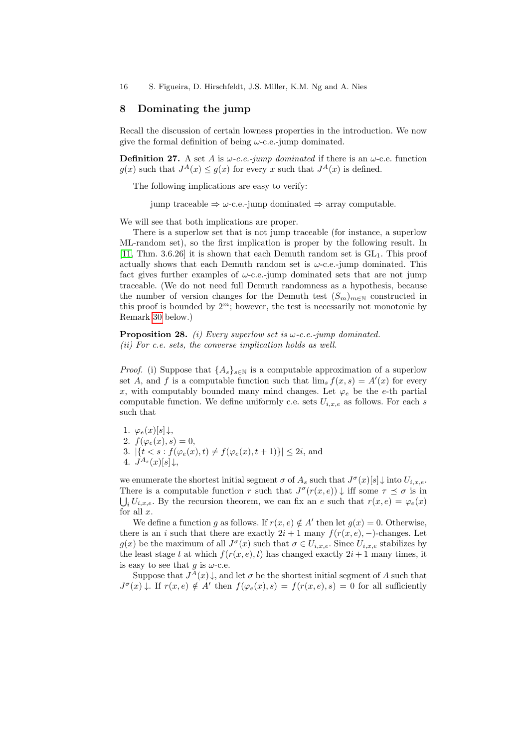16 S. Figueira, D. Hirschfeldt, J.S. Miller, K.M. Ng and A. Nies

#### <span id="page-15-0"></span>8 Dominating the jump

Recall the discussion of certain lowness properties in the introduction. We now give the formal definition of being  $\omega$ -c.e.-jump dominated.

**Definition 27.** A set A is  $\omega$ -c.e.-jump dominated if there is an  $\omega$ -c.e. function  $g(x)$  such that  $J^A(x) \leq g(x)$  for every x such that  $J^A(x)$  is defined.

The following implications are easy to verify:

<span id="page-15-1"></span>jump traceable  $\Rightarrow \omega$ -c.e.-jump dominated  $\Rightarrow$  array computable.

We will see that both implications are proper.

There is a superlow set that is not jump traceable (for instance, a superlow ML-random set), so the first implication is proper by the following result. In  $[11, Thm. 3.6.26]$  $[11, Thm. 3.6.26]$  it is shown that each Demuth random set is  $GL<sub>1</sub>$ . This proof actually shows that each Demuth random set is  $\omega$ -c.e.-jump dominated. This fact gives further examples of  $\omega$ -c.e.-jump dominated sets that are not jump traceable. (We do not need full Demuth randomness as a hypothesis, because the number of version changes for the Demuth test  $(S_m)_{m\in\mathbb{N}}$  constructed in this proof is bounded by  $2^m$ ; however, the test is necessarily not monotonic by Remark [30](#page-16-0) below.)

**Proposition 28.** (i) Every superlow set is  $\omega$ -c.e.-jump dominated. (ii) For c.e. sets, the converse implication holds as well.

*Proof.* (i) Suppose that  $\{A_s\}_{s\in\mathbb{N}}$  is a computable approximation of a superlow set A, and f is a computable function such that  $\lim_s f(x, s) = A'(x)$  for every x, with computably bounded many mind changes. Let  $\varphi_e$  be the e-th partial computable function. We define uniformly c.e. sets  $U_{i,x,e}$  as follows. For each s such that

1.  $\varphi_e(x)[s] \downarrow$ , 2.  $f(\varphi_e(x), s) = 0$ , 3.  $|\{t < s : f(\varphi_e(x), t) \neq f(\varphi_e(x), t + 1)\}| \leq 2i$ , and 4.  $J^{A_s}(x)[s] \downarrow$ ,

we enumerate the shortest initial segment  $\sigma$  of  $A_s$  such that  $J^{\sigma}(x)[s] \downarrow$  into  $U_{i,x,e}$ . There is a computable function r such that  $J^{\sigma}(r(x, e)) \downarrow$  iff some  $\tau \preceq \sigma$  is in  $\bigcup_i U_{i,x,e}$ . By the recursion theorem, we can fix an e such that  $r(x,e) = \varphi_e(x)$ for all  $x$ .

We define a function g as follows. If  $r(x, e) \notin A'$  then let  $g(x) = 0$ . Otherwise, there is an *i* such that there are exactly  $2i + 1$  many  $f(r(x, e), -)$ -changes. Let  $g(x)$  be the maximum of all  $J^{\sigma}(x)$  such that  $\sigma \in U_{i,x,e}$ . Since  $U_{i,x,e}$  stabilizes by the least stage t at which  $f(r(x, e), t)$  has changed exactly  $2i + 1$  many times, it is easy to see that g is  $\omega$ -c.e.

Suppose that  $J^A(x)$ , and let  $\sigma$  be the shortest initial segment of A such that  $J^{\sigma}(x) \downarrow$ . If  $r(x, e) \notin A'$  then  $f(\varphi_e(x), s) = f(r(x, e), s) = 0$  for all sufficiently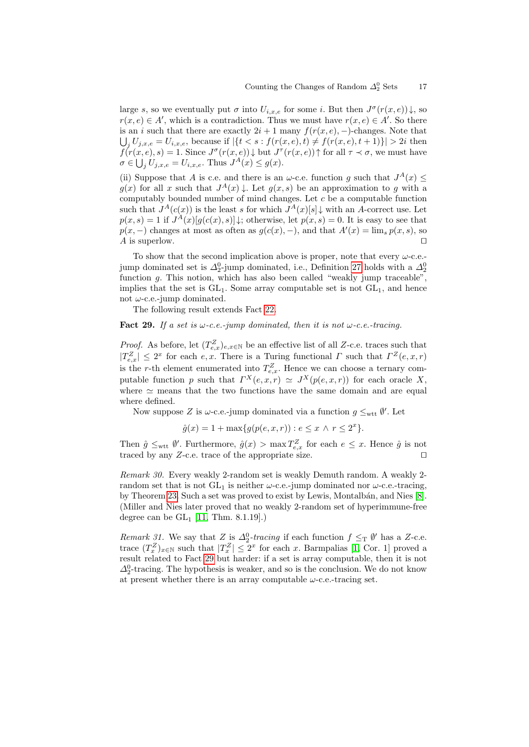large s, so we eventually put  $\sigma$  into  $U_{i,x,e}$  for some i. But then  $J^{\sigma}(r(x,e))\downarrow$ , so  $r(x, e) \in A'$ , which is a contradiction. Thus we must have  $r(x, e) \in A'$ . So there is an i such that there are exactly  $2i + 1$  many  $f(r(x, e), -)$ -changes. Note that  $\bigcup_j U_{j,x,e} = U_{i,x,e}$ , because if  $|\{t < s : f(r(x,e), t) \neq f(r(x,e), t+1)\}| > 2i$  then  $f(r(x, e), s) = 1$ . Since  $J^{\sigma}(r(x, e)) \downarrow$  but  $J^{\tau}(r(x, e)) \uparrow$  for all  $\tau \prec \sigma$ , we must have  $\sigma \in \bigcup_j U_{j,x,e} = U_{i,x,e}.$  Thus  $J^A(x) \le g(x).$ 

(ii) Suppose that A is c.e. and there is an  $\omega$ -c.e. function g such that  $J^A(x) \leq$  $g(x)$  for all x such that  $J^A(x) \downarrow$ . Let  $g(x, s)$  be an approximation to g with a computably bounded number of mind changes. Let  $c$  be a computable function such that  $J^A(c(x))$  is the least s for which  $J^A(x)[s] \downarrow$  with an A-correct use. Let  $p(x, s) = 1$  if  $J^A(x)[g(c(x), s)]$ ; otherwise, let  $p(x, s) = 0$ . It is easy to see that  $p(x, -)$  changes at most as often as  $g(c(x), -)$ , and that  $A'(x) = \lim_{s} p(x, s)$ , so A is superlow.  $\Box$ 

To show that the second implication above is proper, note that every  $\omega$ -c.e.jump dominated set is  $\Delta_2^0$ -jump dominated, i.e., Definition [27](#page-15-1) holds with a  $\Delta_2^0$ function g. This notion, which has also been called "weakly jump traceable", implies that the set is  $GL_1$ . Some array computable set is not  $GL_1$ , and hence not  $\omega$ -c.e.-jump dominated.

The following result extends Fact [22.](#page-12-2)

#### <span id="page-16-1"></span>Fact 29. If a set is  $\omega$ -c.e.-jump dominated, then it is not  $\omega$ -c.e.-tracing.

*Proof.* As before, let  $(T_{e,x}^Z)_{e,x\in\mathbb{N}}$  be an effective list of all Z-c.e. traces such that  $|T_{e,x}^Z| \leq 2^x$  for each e, x. There is a Turing functional  $\Gamma$  such that  $\Gamma^Z(e,x,r)$ is the r-th element enumerated into  $T_{e,x}^Z$ . Hence we can choose a ternary computable function p such that  $\Gamma^X(e,x,r) \simeq J^X(p(e,x,r))$  for each oracle X, where  $\simeq$  means that the two functions have the same domain and are equal where defined.

Now suppose Z is  $\omega$ -c.e.-jump dominated via a function  $g \leq_{\text{wtt}} \emptyset'$ . Let

$$
\hat{g}(x) = 1 + \max\{g(p(e, x, r)) : e \le x \land r \le 2^x\}.
$$

Then  $\hat{g} \leq_{\text{wtt}} \hat{\theta}'$ . Furthermore,  $\hat{g}(x) > \max T_{e,x}^Z$  for each  $e \leq x$ . Hence  $\hat{g}$  is not traced by any  $Z$ -c.e. trace of the appropriate size.  $\square$ 

<span id="page-16-0"></span>Remark 30. Every weakly 2-random set is weakly Demuth random. A weakly 2 random set that is not  $GL_1$  is neither  $\omega$ -c.e.-jump dominated nor  $\omega$ -c.e.-tracing, by Theorem [23.](#page-12-0) Such a set was proved to exist by Lewis, Montalbán, and Nies [\[8\]](#page-18-11). (Miller and Nies later proved that no weakly 2-random set of hyperimmune-free degree can be  $GL_1$  [\[11,](#page-18-1) Thm. 8.1.19].)

Remark 31. We say that Z is  $\Delta_2^0$ -tracing if each function  $f \leq_T \emptyset'$  has a Z-c.e. trace  $(T_x^Z)_{x\in\mathbb{N}}$  such that  $|T_x^Z| \leq 2^x$  for each x. Barmpalias [\[1,](#page-18-12) Cor. 1] proved a result related to Fact [29](#page-16-1) but harder: if a set is array computable, then it is not  $\Delta_2^0$ -tracing. The hypothesis is weaker, and so is the conclusion. We do not know at present whether there is an array computable  $\omega$ -c.e.-tracing set.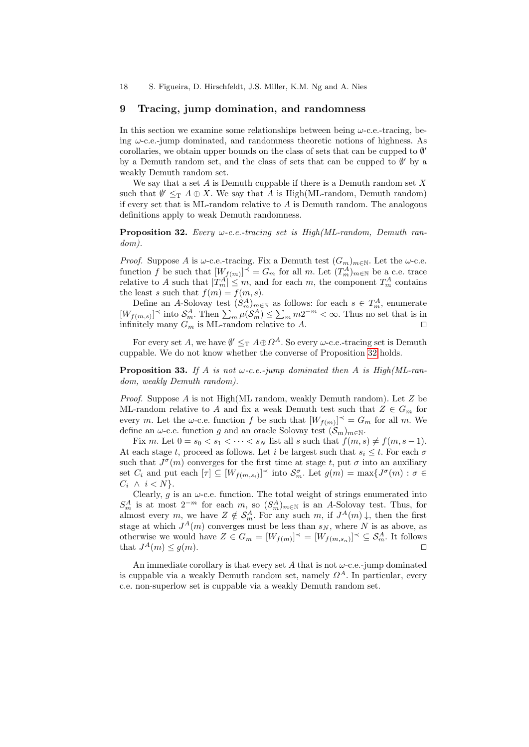## <span id="page-17-0"></span>9 Tracing, jump domination, and randomness

In this section we examine some relationships between being  $\omega$ -c.e.-tracing, being  $\omega$ -c.e.-jump dominated, and randomness theoretic notions of highness. As corollaries, we obtain upper bounds on the class of sets that can be cupped to ∅ 0 by a Demuth random set, and the class of sets that can be cupped to  $\emptyset'$  by a weakly Demuth random set.

We say that a set  $A$  is Demuth cuppable if there is a Demuth random set  $X$ such that  $\emptyset' \leq_T A \oplus X$ . We say that A is High(ML-random, Demuth random) if every set that is ML-random relative to  $A$  is Demuth random. The analogous definitions apply to weak Demuth randomness.

<span id="page-17-1"></span>**Proposition 32.** Every  $\omega$ -c.e.-tracing set is High(ML-random, Demuth random).

*Proof.* Suppose A is  $\omega$ -c.e.-tracing. Fix a Demuth test  $(G_m)_{m\in\mathbb{N}}$ . Let the  $\omega$ -c.e. function f be such that  $[W_{f(m)}]^\prec = G_m$  for all m. Let  $(T_m^A)_{m \in \mathbb{N}}$  be a c.e. trace relative to A such that  $|T_m^A| \leq m$ , and for each m, the component  $T_m^A$  contains the least s such that  $f(m) = f(m, s)$ .

Define an A-Solovay test  $(S_m^A)_{m\in\mathbb{N}}$  as follows: for each  $s \in T_m^A$ , enumerate  $[W_{f(m,s)}]$ <sup> $\prec$ </sup> into  $\mathcal{S}_{m}^{A}$ . Then  $\sum_{m} \mu(\mathcal{S}_{m}^{A}) \leq \sum_{m} m2^{-m} < \infty$ . Thus no set that is in infinitely many  $G_m$  is ML-random relative to A.

For every set A, we have  $\emptyset' \leq_T A \oplus \Omega^A$ . So every  $\omega$ -c.e.-tracing set is Demuth cuppable. We do not know whether the converse of Proposition [32](#page-17-1) holds.

**Proposition 33.** If A is not  $\omega$ -c.e.-jump dominated then A is High(ML-random, weakly Demuth random).

*Proof.* Suppose A is not High(ML random, weakly Demuth random). Let  $Z$  be ML-random relative to A and fix a weak Demuth test such that  $Z \in G_m$  for every m. Let the  $\omega$ -c.e. function f be such that  $[W_{f(m)}] \preceq G_m$  for all m. We define an  $\omega$ -c.e. function g and an oracle Solovay test  $(S_m)_{m \in \mathbb{N}}$ .

Fix m. Let  $0 = s_0 < s_1 < \cdots < s_N$  list all s such that  $f(m, s) \neq f(m, s - 1)$ . At each stage t, proceed as follows. Let i be largest such that  $s_i \leq t$ . For each  $\sigma$ such that  $J^{\sigma}(m)$  converges for the first time at stage t, put  $\sigma$  into an auxiliary set  $C_i$  and put each  $[\tau] \subseteq [W_{f(m,s_i)}]^\prec$  into  $\mathcal{S}_m^{\sigma}$ . Let  $g(m) = \max\{J^{\sigma}(m) : \sigma \in$  $C_i \wedge i < N$ .

Clearly, g is an  $\omega$ -c.e. function. The total weight of strings enumerated into  $S_m^A$  is at most  $2^{-m}$  for each m, so  $(S_m^A)_{m\in\mathbb{N}}$  is an A-Solovay test. Thus, for almost every m, we have  $Z \notin \mathcal{S}_m^A$ . For any such m, if  $J^A(m) \downarrow$ , then the first stage at which  $J^A(m)$  converges must be less than  $s_N$ , where N is as above, as otherwise we would have  $Z \in G_m = [W_{f(m)}]^\prec = [W_{f(m, s_n)}]^\prec \subseteq \mathcal{S}_m^A$ . It follows that  $J^A(m) \leq g(m)$ .

An immediate corollary is that every set A that is not  $\omega$ -c.e.-jump dominated is cuppable via a weakly Demuth random set, namely  $\Omega^A$ . In particular, every c.e. non-superlow set is cuppable via a weakly Demuth random set.